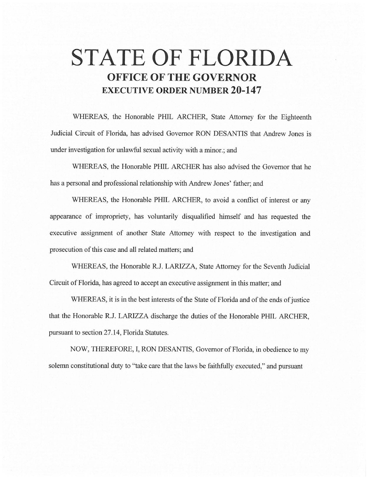# **STATE OF FLORIDA OFFICE OF THE GOVERNOR EXECUTIVE ORDER NUMBER 20-147**

WHEREAS, the Honorable PHIL ARCHER, State Attorney for the Eighteenth Judicial Circuit of Florida, has advised Governor RON DESANTIS that Andrew Jones is under investigation for unlawful sexual activity with a minor.; and

WHEREAS, the Honorable PHIL ARCHER has also advised the Governor that he has a personal and professional relationship with Andrew Jones' father; and

WHEREAS, the Honorable PHIL ARCHER, to avoid a conflict of interest or any appearance of impropriety, has voluntarily disqualified himself and has requested the executive assignment of another State Attorney with respect to the investigation and prosecution of this case and all related matters; and

WHEREAS, the Honorable R.J. LARIZZA, State Attorney for the Seventh Judicial Circuit of Florida, has agreed to accept an executive assignment in this matter; and

WHEREAS, it is in the best interests of the State of Florida and of the ends of justice that the Honorable R.J. LARIZZA discharge the duties of the Honorable PHIL ARCHER, pursuant to section 27.14, Florida Statutes.

NOW, THEREFORE, I, RON DESANTIS, Governor of Florida, in obedience to my solemn constitutional duty to "take care that the laws be faithfully executed," and pursuant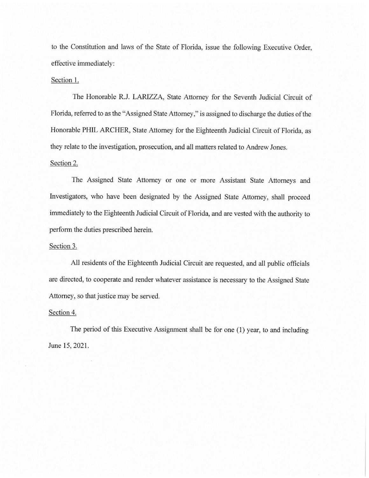to the Constitution and laws of the State of Florida, issue the following Executive Order, effective immediately:

## Section 1.

The Honorable R.J. LARIZZA, State Attorney for the Seventh Judicial Circuit of Florida, referred to as the "Assigned State Attorney," is assigned to discharge the duties of the Honorable PHIL ARCHER, State Attorney for the Eighteenth Judicial Circuit of Florida, as they relate to the investigation, prosecution, and all matters related to Andrew Jones.

## Section 2.

The Assigned State Attorney or one or more Assistant State Attorneys and Investigators, who have been designated by the Assigned State Attorney, shall proceed immediately to the Eighteenth Judicial Circuit of Florida, and are vested with the authority to perform the duties prescribed herein.

### Section 3.

All residents of the Eighteenth Judicial Circuit are requested, and all public officials are directed, to cooperate and render whatever assistance is necessary to the Assigned State Attorney, so that justice may be served.

### Section 4.

The period of this Executive Assignment shall be for one (1) year, to and including June 15, 2021.